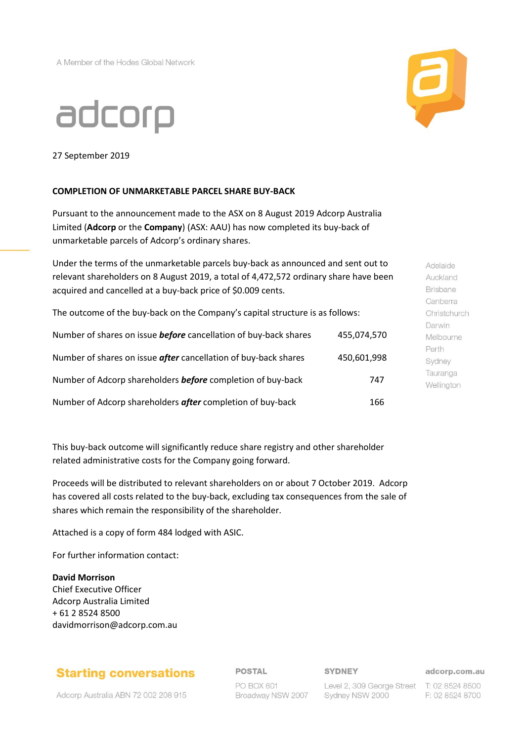A Member of the Hodes Global Network





27 September 2019

### **COMPLETION OF UNMARKETABLE PARCEL SHARE BUY-BACK**

Pursuant to the announcement made to the ASX on 8 August 2019 Adcorp Australia Limited (**Adcorp** or the **Company**) (ASX: AAU) has now completed its buy-back of unmarketable parcels of Adcorp's ordinary shares.

Under the terms of the unmarketable parcels buy-back as announced and sent out to relevant shareholders on 8 August 2019, a total of 4,472,572 ordinary share have been acquired and cancelled at a buy-back price of \$0.009 cents.

The outcome of the buy-back on the Company's capital structure is as follows:

| Number of shares on issue <b>before</b> cancellation of buy-back shares | 455,074,570 |
|-------------------------------------------------------------------------|-------------|
| Number of shares on issue after cancellation of buy-back shares         | 450,601,998 |
| Number of Adcorp shareholders <b>before</b> completion of buy-back      | 747         |
| Number of Adcorp shareholders after completion of buy-back              | 166         |

This buy-back outcome will significantly reduce share registry and other shareholder related administrative costs for the Company going forward.

Proceeds will be distributed to relevant shareholders on or about 7 October 2019. Adcorp has covered all costs related to the buy-back, excluding tax consequences from the sale of shares which remain the responsibility of the shareholder.

Attached is a copy of form 484 lodged with ASIC.

For further information contact:

### **David Morrison**

Chief Executive Officer Adcorp Australia Limited + 61 2 8524 8500 davidmorrison@adcorp.com.au

# **Starting conversations**

Adcorp Australia ABN 72 002 208 915

### **POSTAL**

#### **SYDNEY**

PO BOX 601 Broadway NSW 2007

Level 2, 309 George Street T: 02 8524 8500 Sydney NSW 2000

adcorp.com.au F: 02 8524 8700

**Brisbane** Canberra Christchurch Darwin Melbourne Perth Sydney Tauranga

Wellington

Adelaide Auckland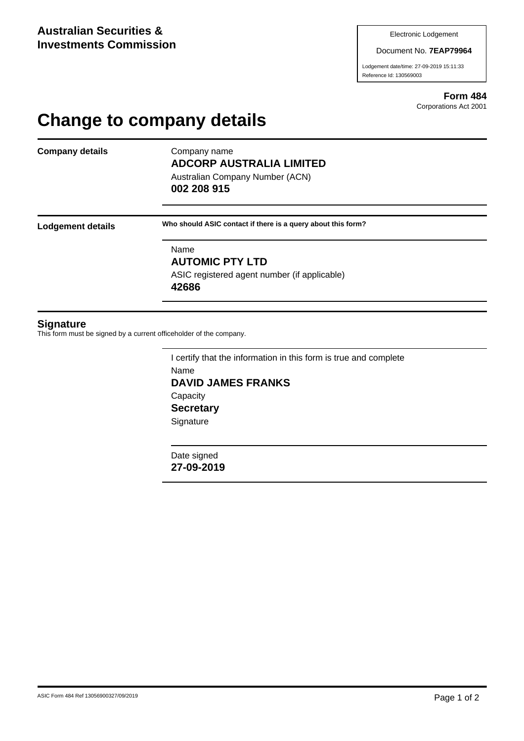Document No. **7EAP79964**

Lodgement date/time: 27-09-2019 15:11:33 Reference Id: 130569003

> **Form 484** Corporations Act 2001

# **Change to company details**

**Company details** Company name

# **ADCORP AUSTRALIA LIMITED**

Australian Company Number (ACN) **002 208 915**

**Lodgement details Who should ASIC contact if there is a query about this form?**

Name **AUTOMIC PTY LTD** ASIC registered agent number (if applicable) **42686**

### **Signature**

This form must be signed by a current officeholder of the company.

I certify that the information in this form is true and complete Name **DAVID JAMES FRANKS Capacity Secretary Signature** 

Date signed **27-09-2019**